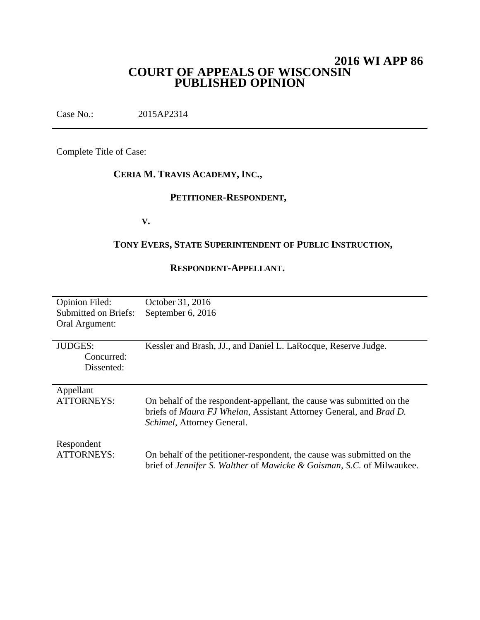# **2016 WI APP 86 COURT OF APPEALS OF WISCONSIN PUBLISHED OPINION**

Case No.: 2015AP2314

Complete Title of Case:

# **CERIA M. TRAVIS ACADEMY, INC.,**

# **PETITIONER-RESPONDENT,**

**V.**

# **TONY EVERS, STATE SUPERINTENDENT OF PUBLIC INSTRUCTION,**

### **RESPONDENT-APPELLANT.**

| <b>Opinion Filed:</b>       | October 31, 2016                                                       |
|-----------------------------|------------------------------------------------------------------------|
| <b>Submitted on Briefs:</b> | September 6, 2016                                                      |
| Oral Argument:              |                                                                        |
|                             |                                                                        |
| <b>JUDGES:</b>              | Kessler and Brash, JJ., and Daniel L. LaRocque, Reserve Judge.         |
| Concurred:                  |                                                                        |
| Dissented:                  |                                                                        |
|                             |                                                                        |
| Appellant                   |                                                                        |
| <b>ATTORNEYS:</b>           | On behalf of the respondent-appellant, the cause was submitted on the  |
|                             | briefs of Maura FJ Whelan, Assistant Attorney General, and Brad D.     |
|                             | Schimel, Attorney General.                                             |
|                             |                                                                        |
| Respondent                  |                                                                        |
| <b>ATTORNEYS:</b>           | On behalf of the petitioner-respondent, the cause was submitted on the |
|                             | brief of Jennifer S. Walther of Mawicke & Goisman, S.C. of Milwaukee.  |
|                             |                                                                        |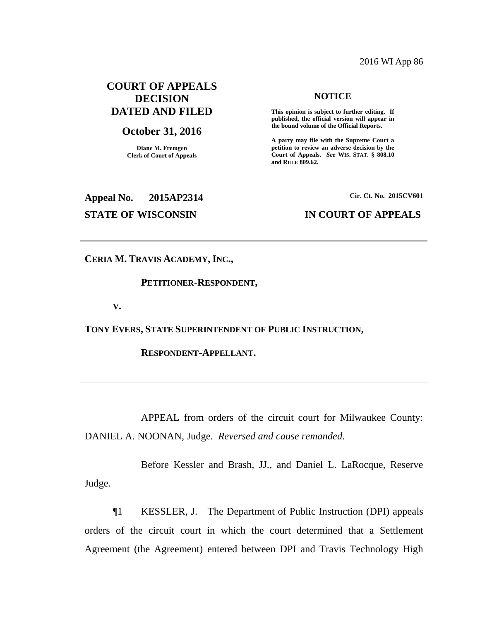### 2016 WI App 86

# **COURT OF APPEALS DECISION DATED AND FILED**

### **October 31, 2016**

**Diane M. Fremgen Clerk of Court of Appeals**

### **NOTICE**

**This opinion is subject to further editing. If published, the official version will appear in the bound volume of the Official Reports.** 

**A party may file with the Supreme Court a petition to review an adverse decision by the Court of Appeals.** *See* **WIS. STAT. § 808.10 and RULE 809.62.** 

# **Appeal No. 2015AP2314 Cir. Ct. No. 2015CV601 STATE OF WISCONSIN IN COURT OF APPEALS**

**CERIA M. TRAVIS ACADEMY, INC.,**

#### **PETITIONER-RESPONDENT,**

**V.**

**TONY EVERS, STATE SUPERINTENDENT OF PUBLIC INSTRUCTION,**

**RESPONDENT-APPELLANT.**

APPEAL from orders of the circuit court for Milwaukee County: DANIEL A. NOONAN, Judge. *Reversed and cause remanded.*

Before Kessler and Brash, JJ., and Daniel L. LaRocque, Reserve Judge.

¶1 KESSLER, J. The Department of Public Instruction (DPI) appeals orders of the circuit court in which the court determined that a Settlement Agreement (the Agreement) entered between DPI and Travis Technology High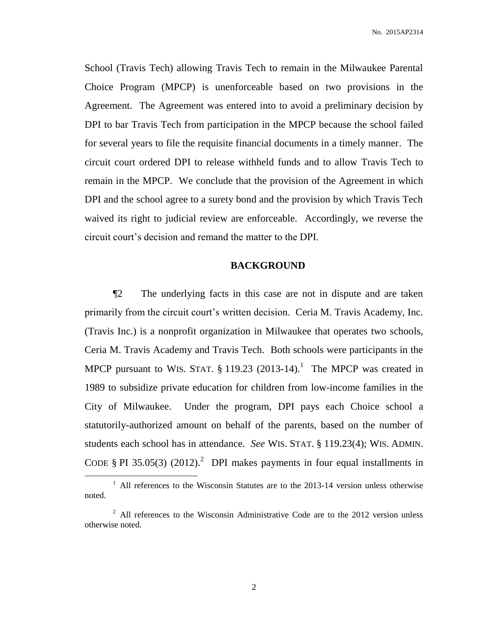School (Travis Tech) allowing Travis Tech to remain in the Milwaukee Parental Choice Program (MPCP) is unenforceable based on two provisions in the Agreement. The Agreement was entered into to avoid a preliminary decision by DPI to bar Travis Tech from participation in the MPCP because the school failed for several years to file the requisite financial documents in a timely manner. The circuit court ordered DPI to release withheld funds and to allow Travis Tech to remain in the MPCP. We conclude that the provision of the Agreement in which DPI and the school agree to a surety bond and the provision by which Travis Tech waived its right to judicial review are enforceable. Accordingly, we reverse the circuit court's decision and remand the matter to the DPI.

### **BACKGROUND**

¶2 The underlying facts in this case are not in dispute and are taken primarily from the circuit court's written decision. Ceria M. Travis Academy, Inc. (Travis Inc.) is a nonprofit organization in Milwaukee that operates two schools, Ceria M. Travis Academy and Travis Tech. Both schools were participants in the MPCP pursuant to WIS. STAT.  $\S 119.23$  (2013-14).<sup>1</sup> The MPCP was created in 1989 to subsidize private education for children from low-income families in the City of Milwaukee. Under the program, DPI pays each Choice school a statutorily-authorized amount on behalf of the parents, based on the number of students each school has in attendance. *See* WIS. STAT. § 119.23(4); WIS. ADMIN. CODE § PI 35.05(3) (2012).<sup>2</sup> DPI makes payments in four equal installments in

 $\overline{a}$ 

<sup>&</sup>lt;sup>1</sup> All references to the Wisconsin Statutes are to the 2013-14 version unless otherwise noted.

<sup>&</sup>lt;sup>2</sup> All references to the Wisconsin Administrative Code are to the 2012 version unless otherwise noted.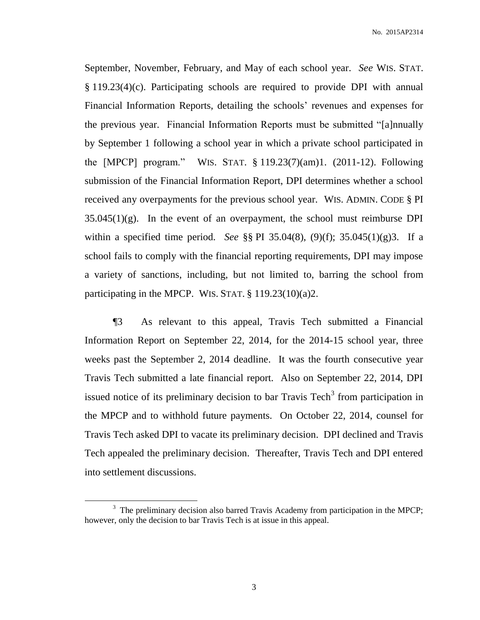September, November, February, and May of each school year. *See* WIS. STAT. § 119.23(4)(c). Participating schools are required to provide DPI with annual Financial Information Reports, detailing the schools' revenues and expenses for the previous year. Financial Information Reports must be submitted "[a]nnually by September 1 following a school year in which a private school participated in the [MPCP] program." WIS. STAT. § 119.23(7)(am)1. (2011-12). Following submission of the Financial Information Report, DPI determines whether a school received any overpayments for the previous school year. WIS. ADMIN. CODE § PI  $35.045(1)(g)$ . In the event of an overpayment, the school must reimburse DPI within a specified time period. *See* §§ PI 35.04(8), (9)(f); 35.045(1)(g)3. If a school fails to comply with the financial reporting requirements, DPI may impose a variety of sanctions, including, but not limited to, barring the school from participating in the MPCP. WIS. STAT. § 119.23(10)(a)2.

¶3 As relevant to this appeal, Travis Tech submitted a Financial Information Report on September 22, 2014, for the 2014-15 school year, three weeks past the September 2, 2014 deadline. It was the fourth consecutive year Travis Tech submitted a late financial report. Also on September 22, 2014, DPI issued notice of its preliminary decision to bar Travis Tech<sup>3</sup> from participation in the MPCP and to withhold future payments. On October 22, 2014, counsel for Travis Tech asked DPI to vacate its preliminary decision. DPI declined and Travis Tech appealed the preliminary decision. Thereafter, Travis Tech and DPI entered into settlement discussions.

 $\overline{a}$ 

 $3$  The preliminary decision also barred Travis Academy from participation in the MPCP; however, only the decision to bar Travis Tech is at issue in this appeal.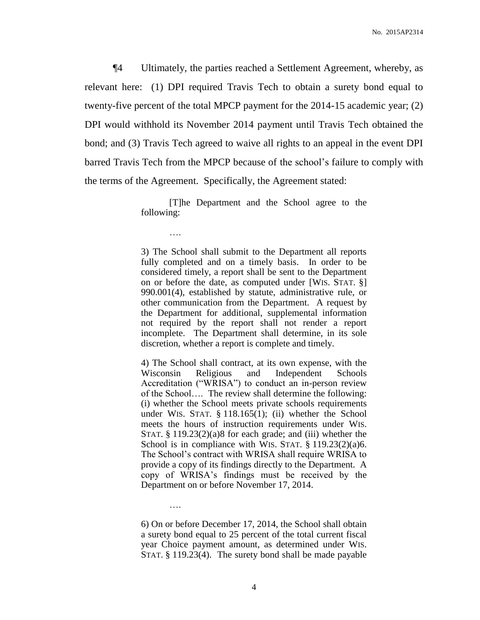¶4 Ultimately, the parties reached a Settlement Agreement, whereby, as relevant here: (1) DPI required Travis Tech to obtain a surety bond equal to twenty-five percent of the total MPCP payment for the 2014-15 academic year; (2) DPI would withhold its November 2014 payment until Travis Tech obtained the bond; and (3) Travis Tech agreed to waive all rights to an appeal in the event DPI barred Travis Tech from the MPCP because of the school's failure to comply with the terms of the Agreement. Specifically, the Agreement stated:

> [T]he Department and the School agree to the following:

> > ….

….

3) The School shall submit to the Department all reports fully completed and on a timely basis. In order to be considered timely, a report shall be sent to the Department on or before the date, as computed under [WIS. STAT. §] 990.001(4), established by statute, administrative rule, or other communication from the Department. A request by the Department for additional, supplemental information not required by the report shall not render a report incomplete. The Department shall determine, in its sole discretion, whether a report is complete and timely.

4) The School shall contract, at its own expense, with the Wisconsin Religious and Independent Schools Accreditation ("WRISA") to conduct an in-person review of the School…. The review shall determine the following: (i) whether the School meets private schools requirements under WIS. STAT. § 118.165(1); (ii) whether the School meets the hours of instruction requirements under WIS. STAT.  $§ 119.23(2)(a)8$  for each grade; and (iii) whether the School is in compliance with WIS. STAT. § 119.23(2)(a)6. The School's contract with WRISA shall require WRISA to provide a copy of its findings directly to the Department. A copy of WRISA's findings must be received by the Department on or before November 17, 2014.

6) On or before December 17, 2014, the School shall obtain a surety bond equal to 25 percent of the total current fiscal year Choice payment amount, as determined under WIS. STAT. § 119.23(4). The surety bond shall be made payable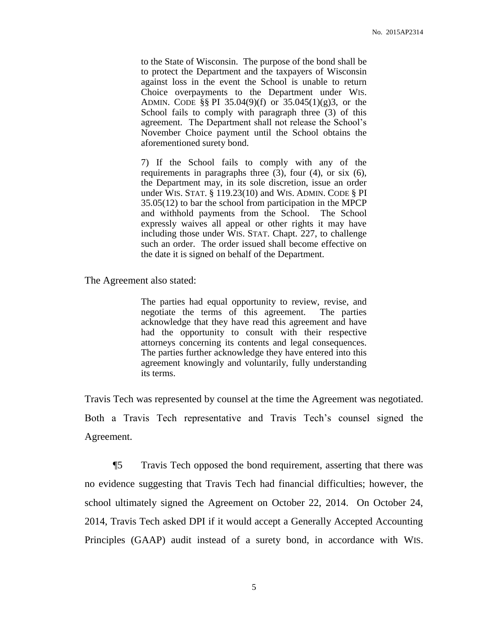to the State of Wisconsin. The purpose of the bond shall be to protect the Department and the taxpayers of Wisconsin against loss in the event the School is unable to return Choice overpayments to the Department under WIS. ADMIN. CODE §§ PI 35.04(9)(f) or 35.045(1)(g)3, or the School fails to comply with paragraph three (3) of this agreement. The Department shall not release the School's November Choice payment until the School obtains the aforementioned surety bond.

7) If the School fails to comply with any of the requirements in paragraphs three (3), four (4), or six (6), the Department may, in its sole discretion, issue an order under WIS. STAT. § 119.23(10) and WIS. ADMIN. CODE § PI 35.05(12) to bar the school from participation in the MPCP and withhold payments from the School. The School expressly waives all appeal or other rights it may have including those under WIS. STAT. Chapt. 227, to challenge such an order. The order issued shall become effective on the date it is signed on behalf of the Department.

The Agreement also stated:

The parties had equal opportunity to review, revise, and negotiate the terms of this agreement. The parties acknowledge that they have read this agreement and have had the opportunity to consult with their respective attorneys concerning its contents and legal consequences. The parties further acknowledge they have entered into this agreement knowingly and voluntarily, fully understanding its terms.

Travis Tech was represented by counsel at the time the Agreement was negotiated. Both a Travis Tech representative and Travis Tech's counsel signed the Agreement.

¶5 Travis Tech opposed the bond requirement, asserting that there was no evidence suggesting that Travis Tech had financial difficulties; however, the school ultimately signed the Agreement on October 22, 2014. On October 24, 2014, Travis Tech asked DPI if it would accept a Generally Accepted Accounting Principles (GAAP) audit instead of a surety bond, in accordance with WIS.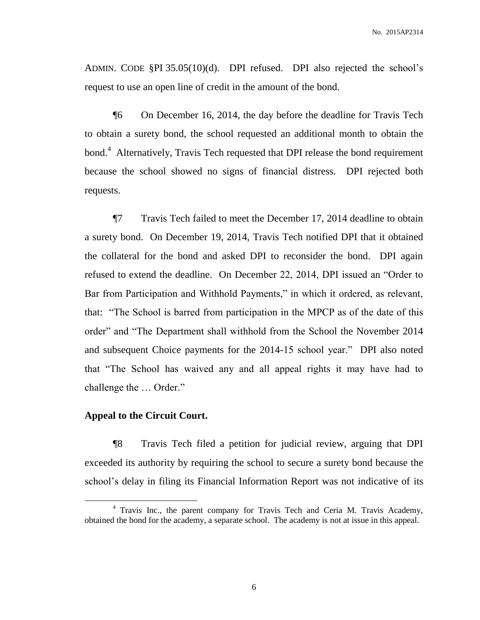ADMIN. CODE §PI 35.05(10)(d). DPI refused. DPI also rejected the school's request to use an open line of credit in the amount of the bond.

¶6 On December 16, 2014, the day before the deadline for Travis Tech to obtain a surety bond, the school requested an additional month to obtain the bond.<sup>4</sup> Alternatively, Travis Tech requested that DPI release the bond requirement because the school showed no signs of financial distress. DPI rejected both requests.

¶7 Travis Tech failed to meet the December 17, 2014 deadline to obtain a surety bond. On December 19, 2014, Travis Tech notified DPI that it obtained the collateral for the bond and asked DPI to reconsider the bond. DPI again refused to extend the deadline. On December 22, 2014, DPI issued an "Order to Bar from Participation and Withhold Payments," in which it ordered, as relevant, that: "The School is barred from participation in the MPCP as of the date of this order" and "The Department shall withhold from the School the November 2014 and subsequent Choice payments for the 2014-15 school year." DPI also noted that "The School has waived any and all appeal rights it may have had to challenge the … Order."

### **Appeal to the Circuit Court.**

 $\overline{a}$ 

¶8 Travis Tech filed a petition for judicial review, arguing that DPI exceeded its authority by requiring the school to secure a surety bond because the school's delay in filing its Financial Information Report was not indicative of its

<sup>&</sup>lt;sup>4</sup> Travis Inc., the parent company for Travis Tech and Ceria M. Travis Academy, obtained the bond for the academy, a separate school. The academy is not at issue in this appeal.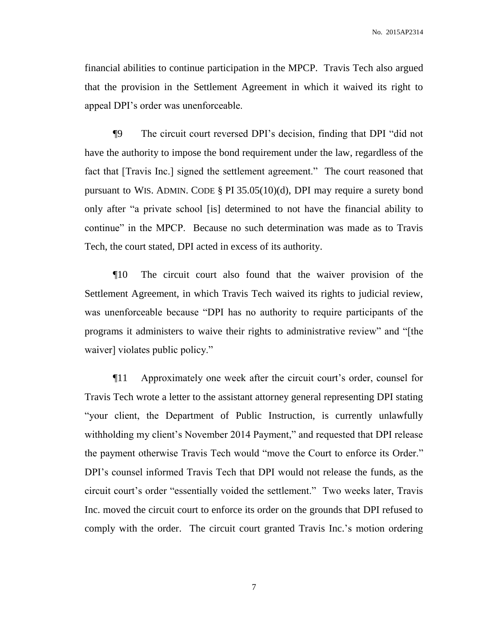financial abilities to continue participation in the MPCP. Travis Tech also argued that the provision in the Settlement Agreement in which it waived its right to appeal DPI's order was unenforceable.

¶9 The circuit court reversed DPI's decision, finding that DPI "did not have the authority to impose the bond requirement under the law, regardless of the fact that [Travis Inc.] signed the settlement agreement." The court reasoned that pursuant to WIS. ADMIN. CODE § PI 35.05(10)(d), DPI may require a surety bond only after "a private school [is] determined to not have the financial ability to continue" in the MPCP. Because no such determination was made as to Travis Tech, the court stated, DPI acted in excess of its authority.

¶10 The circuit court also found that the waiver provision of the Settlement Agreement, in which Travis Tech waived its rights to judicial review, was unenforceable because "DPI has no authority to require participants of the programs it administers to waive their rights to administrative review" and "[the waiver] violates public policy."

¶11 Approximately one week after the circuit court's order, counsel for Travis Tech wrote a letter to the assistant attorney general representing DPI stating "your client, the Department of Public Instruction, is currently unlawfully withholding my client's November 2014 Payment," and requested that DPI release the payment otherwise Travis Tech would "move the Court to enforce its Order." DPI's counsel informed Travis Tech that DPI would not release the funds, as the circuit court's order "essentially voided the settlement." Two weeks later, Travis Inc. moved the circuit court to enforce its order on the grounds that DPI refused to comply with the order. The circuit court granted Travis Inc.'s motion ordering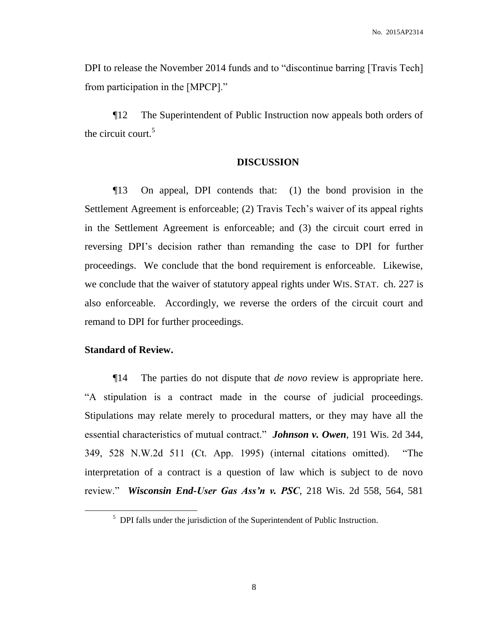DPI to release the November 2014 funds and to "discontinue barring [Travis Tech] from participation in the [MPCP]."

¶12 The Superintendent of Public Instruction now appeals both orders of the circuit court.<sup>5</sup>

### **DISCUSSION**

¶13 On appeal, DPI contends that: (1) the bond provision in the Settlement Agreement is enforceable; (2) Travis Tech's waiver of its appeal rights in the Settlement Agreement is enforceable; and (3) the circuit court erred in reversing DPI's decision rather than remanding the case to DPI for further proceedings. We conclude that the bond requirement is enforceable. Likewise, we conclude that the waiver of statutory appeal rights under WIS. STAT. ch. 227 is also enforceable. Accordingly, we reverse the orders of the circuit court and remand to DPI for further proceedings.

## **Standard of Review.**

 $\overline{a}$ 

¶14 The parties do not dispute that *de novo* review is appropriate here. "A stipulation is a contract made in the course of judicial proceedings. Stipulations may relate merely to procedural matters, or they may have all the essential characteristics of mutual contract." *Johnson v. Owen*, 191 Wis. 2d 344, 349, 528 N.W.2d 511 (Ct. App. 1995) (internal citations omitted). "The interpretation of a contract is a question of law which is subject to de novo review." *Wisconsin End-User Gas Ass'n v. PSC*, 218 Wis. 2d 558, 564, 581

 $<sup>5</sup>$  DPI falls under the jurisdiction of the Superintendent of Public Instruction.</sup>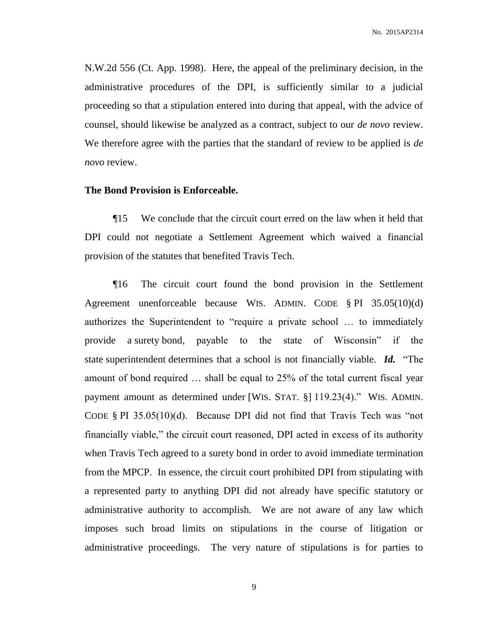N.W.2d 556 (Ct. App. 1998). Here, the appeal of the preliminary decision, in the administrative procedures of the DPI, is sufficiently similar to a judicial proceeding so that a stipulation entered into during that appeal, with the advice of counsel, should likewise be analyzed as a contract, subject to our *de novo* review. We therefore agree with the parties that the standard of review to be applied is *de novo* review.

### **The Bond Provision is Enforceable.**

¶15 We conclude that the circuit court erred on the law when it held that DPI could not negotiate a Settlement Agreement which waived a financial provision of the statutes that benefited Travis Tech.

¶16 The circuit court found the bond provision in the Settlement Agreement unenforceable because WIS. ADMIN. CODE § PI 35.05(10)(d) authorizes the Superintendent to "require a private school … to immediately provide a surety bond, payable to the state of Wisconsin" if the state superintendent determines that a school is not financially viable. *Id.* "The amount of bond required … shall be equal to 25% of the total current fiscal year payment amount as determined under [WIS. STAT. §] 119.23(4)." WIS. ADMIN. CODE  $\S$  PI 35.05(10)(d). Because DPI did not find that Travis Tech was "not financially viable," the circuit court reasoned, DPI acted in excess of its authority when Travis Tech agreed to a surety bond in order to avoid immediate termination from the MPCP. In essence, the circuit court prohibited DPI from stipulating with a represented party to anything DPI did not already have specific statutory or administrative authority to accomplish. We are not aware of any law which imposes such broad limits on stipulations in the course of litigation or administrative proceedings. The very nature of stipulations is for parties to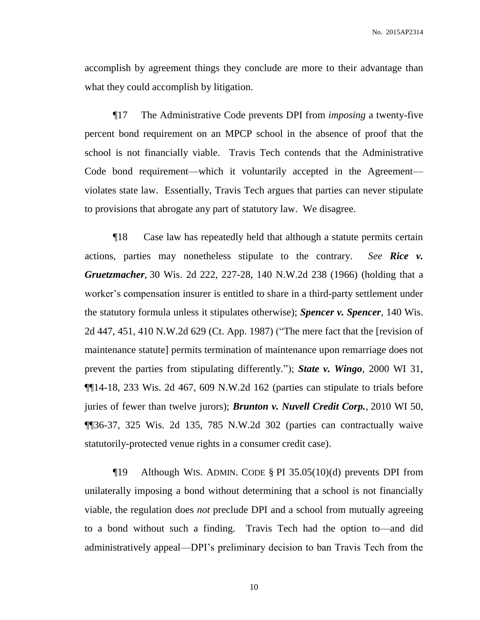accomplish by agreement things they conclude are more to their advantage than what they could accomplish by litigation.

¶17 The Administrative Code prevents DPI from *imposing* a twenty-five percent bond requirement on an MPCP school in the absence of proof that the school is not financially viable. Travis Tech contends that the Administrative Code bond requirement—which it voluntarily accepted in the Agreement violates state law. Essentially, Travis Tech argues that parties can never stipulate to provisions that abrogate any part of statutory law. We disagree.

¶18 Case law has repeatedly held that although a statute permits certain actions, parties may nonetheless stipulate to the contrary. *See Rice v. Gruetzmacher*, 30 Wis. 2d 222, 227-28, 140 N.W.2d 238 (1966) (holding that a worker's compensation insurer is entitled to share in a third-party settlement under the statutory formula unless it stipulates otherwise); *Spencer v. Spencer*, 140 Wis. 2d 447, 451, 410 N.W.2d 629 (Ct. App. 1987) ("The mere fact that the [revision of maintenance statute] permits termination of maintenance upon remarriage does not prevent the parties from stipulating differently."); *State v. Wingo*, 2000 WI 31, ¶¶14-18, 233 Wis. 2d 467, 609 N.W.2d 162 (parties can stipulate to trials before juries of fewer than twelve jurors); *Brunton v. Nuvell Credit Corp.*, 2010 WI 50, ¶¶36-37, 325 Wis. 2d 135, 785 N.W.2d 302 (parties can contractually waive statutorily-protected venue rights in a consumer credit case).

¶19 Although WIS. ADMIN. CODE § PI 35.05(10)(d) prevents DPI from unilaterally imposing a bond without determining that a school is not financially viable, the regulation does *not* preclude DPI and a school from mutually agreeing to a bond without such a finding. Travis Tech had the option to—and did administratively appeal—DPI's preliminary decision to ban Travis Tech from the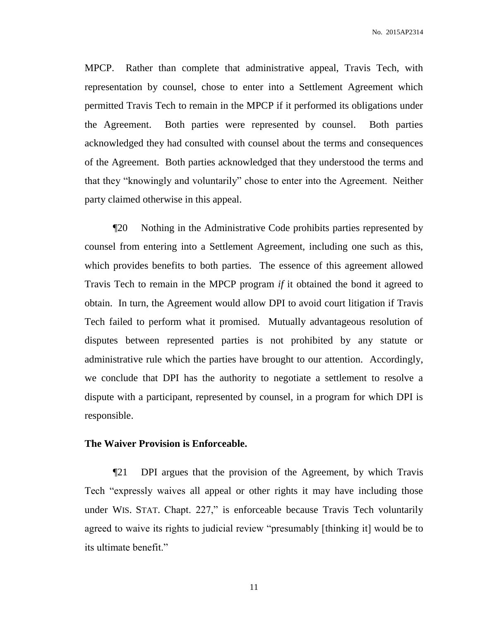MPCP. Rather than complete that administrative appeal, Travis Tech, with representation by counsel, chose to enter into a Settlement Agreement which permitted Travis Tech to remain in the MPCP if it performed its obligations under the Agreement. Both parties were represented by counsel. Both parties acknowledged they had consulted with counsel about the terms and consequences of the Agreement. Both parties acknowledged that they understood the terms and that they "knowingly and voluntarily" chose to enter into the Agreement. Neither party claimed otherwise in this appeal.

¶20 Nothing in the Administrative Code prohibits parties represented by counsel from entering into a Settlement Agreement, including one such as this, which provides benefits to both parties. The essence of this agreement allowed Travis Tech to remain in the MPCP program *if* it obtained the bond it agreed to obtain. In turn, the Agreement would allow DPI to avoid court litigation if Travis Tech failed to perform what it promised. Mutually advantageous resolution of disputes between represented parties is not prohibited by any statute or administrative rule which the parties have brought to our attention. Accordingly, we conclude that DPI has the authority to negotiate a settlement to resolve a dispute with a participant, represented by counsel, in a program for which DPI is responsible.

### **The Waiver Provision is Enforceable.**

¶21 DPI argues that the provision of the Agreement, by which Travis Tech "expressly waives all appeal or other rights it may have including those under WIS. STAT. Chapt. 227," is enforceable because Travis Tech voluntarily agreed to waive its rights to judicial review "presumably [thinking it] would be to its ultimate benefit."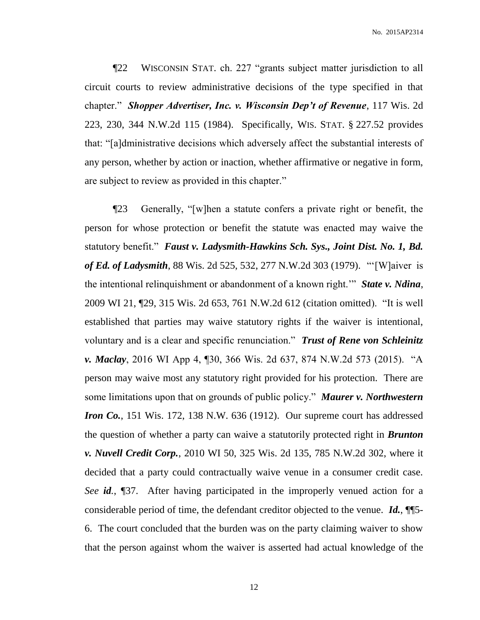No. 2015AP2314

¶22 WISCONSIN STAT. ch. 227 "grants subject matter jurisdiction to all circuit courts to review administrative decisions of the type specified in that chapter." *Shopper Advertiser, Inc. v. Wisconsin Dep't of Revenue*, 117 Wis. 2d 223, 230, 344 N.W.2d 115 (1984). Specifically, WIS. STAT. § 227.52 provides that: "[a]dministrative decisions which adversely affect the substantial interests of any person, whether by action or inaction, whether affirmative or negative in form, are subject to review as provided in this chapter."

¶23 Generally, "[w]hen a statute confers a private right or benefit, the person for whose protection or benefit the statute was enacted may waive the statutory benefit." *Faust v. Ladysmith-Hawkins Sch. Sys., Joint Dist. No. 1, Bd. of Ed. of Ladysmith*, 88 Wis. 2d 525, 532, 277 N.W.2d 303 (1979). "'[W]aiver is the intentional relinquishment or abandonment of a known right.'" *State v. Ndina*, 2009 WI 21, ¶29, 315 Wis. 2d 653, 761 N.W.2d 612 (citation omitted). "It is well established that parties may waive statutory rights if the waiver is intentional, voluntary and is a clear and specific renunciation." *Trust of Rene von Schleinitz v. Maclay*, 2016 WI App 4, ¶30, 366 Wis. 2d 637, 874 N.W.2d 573 (2015). "A person may waive most any statutory right provided for his protection. There are some limitations upon that on grounds of public policy." *Maurer v. Northwestern Iron Co.*, 151 Wis. 172, 138 N.W. 636 (1912). Our supreme court has addressed the question of whether a party can waive a statutorily protected right in *Brunton v. Nuvell Credit Corp.*, 2010 WI 50, 325 Wis. 2d 135, 785 N.W.2d 302, where it decided that a party could contractually waive venue in a consumer credit case. *See id.*, ¶37. After having participated in the improperly venued action for a considerable period of time, the defendant creditor objected to the venue. *Id.*, ¶¶5- 6. The court concluded that the burden was on the party claiming waiver to show that the person against whom the waiver is asserted had actual knowledge of the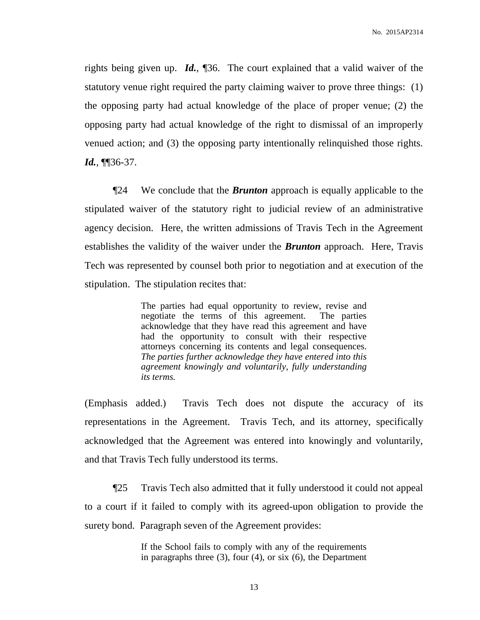rights being given up. *Id.*, ¶36. The court explained that a valid waiver of the statutory venue right required the party claiming waiver to prove three things: (1) the opposing party had actual knowledge of the place of proper venue; (2) the opposing party had actual knowledge of the right to dismissal of an improperly venued action; and (3) the opposing party intentionally relinquished those rights. *Id.*, ¶¶36-37.

¶24 We conclude that the *Brunton* approach is equally applicable to the stipulated waiver of the statutory right to judicial review of an administrative agency decision. Here, the written admissions of Travis Tech in the Agreement establishes the validity of the waiver under the *Brunton* approach. Here, Travis Tech was represented by counsel both prior to negotiation and at execution of the stipulation. The stipulation recites that:

> The parties had equal opportunity to review, revise and negotiate the terms of this agreement. The parties acknowledge that they have read this agreement and have had the opportunity to consult with their respective attorneys concerning its contents and legal consequences. *The parties further acknowledge they have entered into this agreement knowingly and voluntarily, fully understanding its terms.*

(Emphasis added.) Travis Tech does not dispute the accuracy of its representations in the Agreement. Travis Tech, and its attorney, specifically acknowledged that the Agreement was entered into knowingly and voluntarily, and that Travis Tech fully understood its terms.

¶25 Travis Tech also admitted that it fully understood it could not appeal to a court if it failed to comply with its agreed-upon obligation to provide the surety bond. Paragraph seven of the Agreement provides:

> If the School fails to comply with any of the requirements in paragraphs three (3), four (4), or six (6), the Department